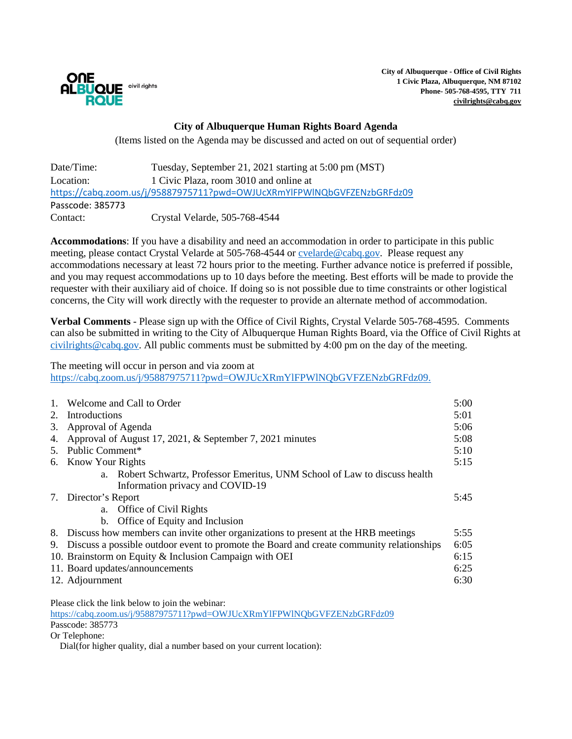

**City of Albuquerque - Office of Civil Rights 1 Civic Plaza, Albuquerque, NM 87102 Phone- 505-768-4595, TTY 711 [civilrights@cabq.gov](mailto:civilrights@cabq.gov)**

## **City of Albuquerque Human Rights Board Agenda**

(Items listed on the Agenda may be discussed and acted on out of sequential order)

| Date/Time:                                                              | Tuesday, September 21, 2021 starting at 5:00 pm (MST) |  |  |
|-------------------------------------------------------------------------|-------------------------------------------------------|--|--|
| Location:                                                               | 1 Civic Plaza, room 3010 and online at                |  |  |
| https://cabq.zoom.us/j/95887975711?pwd=OWJUcXRmYlFPWINQbGVFZENzbGRFdz09 |                                                       |  |  |
| Passcode: 385773                                                        |                                                       |  |  |
| Contact:                                                                | Crystal Velarde, 505-768-4544                         |  |  |

**Accommodations**: If you have a disability and need an accommodation in order to participate in this public meeting, please contact Crystal Velarde at 505-768-4544 or [cvelarde@cabq.gov.](mailto:cvelarde@cabq.gov) Please request any accommodations necessary at least 72 hours prior to the meeting. Further advance notice is preferred if possible, and you may request accommodations up to 10 days before the meeting. Best efforts will be made to provide the requester with their auxiliary aid of choice. If doing so is not possible due to time constraints or other logistical concerns, the City will work directly with the requester to provide an alternate method of accommodation.

**Verbal Comments** - Please sign up with the Office of Civil Rights, Crystal Velarde 505-768-4595. Comments can also be submitted in writing to the City of Albuquerque Human Rights Board, via the Office of Civil Rights at [civilrights@cabq.gov.](mailto:civilrights@cabq.gov) All public comments must be submitted by 4:00 pm on the day of the meeting.

The meeting will occur in person and via zoom at [https://cabq.zoom.us/j/95887975711?pwd=OWJUcXRmYlFPWlNQbGVFZENzbGRFdz09.](https://cabq.zoom.us/j/95887975711?pwd=OWJUcXRmYlFPWlNQbGVFZENzbGRFdz09)

| $\mathbf{1}$ . | Welcome and Call to Order                                                                        |      |
|----------------|--------------------------------------------------------------------------------------------------|------|
| 2.             | Introductions                                                                                    |      |
| 3.             | Approval of Agenda                                                                               |      |
| 4.             | Approval of August 17, 2021, & September 7, 2021 minutes                                         |      |
|                | 5. Public Comment*                                                                               |      |
|                | 6. Know Your Rights                                                                              |      |
|                | a. Robert Schwartz, Professor Emeritus, UNM School of Law to discuss health                      |      |
|                | Information privacy and COVID-19                                                                 |      |
|                | 7. Director's Report                                                                             | 5:45 |
|                | a. Office of Civil Rights                                                                        |      |
|                | b. Office of Equity and Inclusion                                                                |      |
|                | 8. Discuss how members can invite other organizations to present at the HRB meetings             | 5:55 |
| 9.             | Discuss a possible outdoor event to promote the Board and create community relationships<br>6:05 |      |
|                | 10. Brainstorm on Equity & Inclusion Campaign with OEI                                           |      |
|                | 11. Board updates/announcements                                                                  |      |
|                | 12. Adjournment                                                                                  |      |
|                |                                                                                                  |      |

Please click the link below to join the webinar:

<https://cabq.zoom.us/j/95887975711?pwd=OWJUcXRmYlFPWlNQbGVFZENzbGRFdz09> Passcode: 385773

Or Telephone:

Dial(for higher quality, dial a number based on your current location):